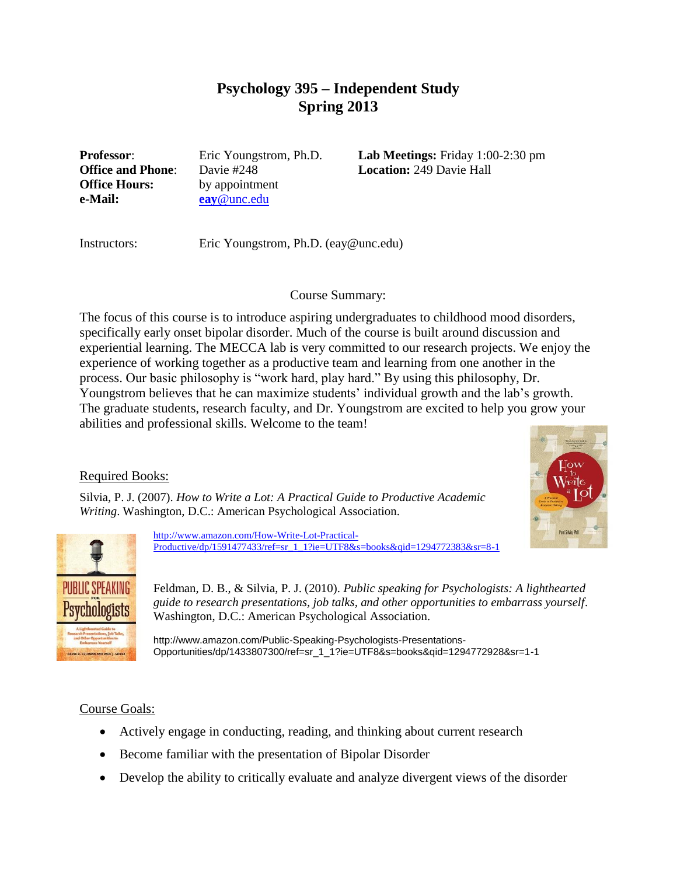# **Psychology 395 – Independent Study Spring 2013**

**Office Hours:** by appointment **e-Mail: eay**[@unc.edu](mailto:eay@unc.edu)

**Professor**: Eric Youngstrom, Ph.D. **Lab Meetings:** Friday 1:00-2:30 pm **Office and Phone**: Davie #248 **Location:** 249 Davie Hall

Instructors: Eric Youngstrom, Ph.D. (eay@unc.edu)

#### Course Summary:

The focus of this course is to introduce aspiring undergraduates to childhood mood disorders, specifically early onset bipolar disorder. Much of the course is built around discussion and experiential learning. The MECCA lab is very committed to our research projects. We enjoy the experience of working together as a productive team and learning from one another in the process. Our basic philosophy is "work hard, play hard." By using this philosophy, Dr. Youngstrom believes that he can maximize students' individual growth and the lab's growth. The graduate students, research faculty, and Dr. Youngstrom are excited to help you grow your abilities and professional skills. Welcome to the team!

# Required Books:



Silvia, P. J. (2007). *How to Write a Lot: A Practical Guide to Productive Academic Writing*. Washington, D.C.: American Psychological Association.



[http://www.amazon.com/How-Write-Lot-Practical-](http://www.amazon.com/How-Write-Lot-Practical-Productive/dp/1591477433/ref=sr_1_1?ie=UTF8&s=books&qid=1294772383&sr=8-1)[Productive/dp/1591477433/ref=sr\\_1\\_1?ie=UTF8&s=books&qid=1294772383&sr=8-1](http://www.amazon.com/How-Write-Lot-Practical-Productive/dp/1591477433/ref=sr_1_1?ie=UTF8&s=books&qid=1294772383&sr=8-1)

Feldman, D. B., & Silvia, P. J. (2010). *Public speaking for Psychologists: A lighthearted guide to research presentations, job talks, and other opportunities to embarrass yourself*. Washington, D.C.: American Psychological Association.

http://www.amazon.com/Public-Speaking-Psychologists-Presentations-Opportunities/dp/1433807300/ref=sr\_1\_1?ie=UTF8&s=books&qid=1294772928&sr=1-1

# Course Goals:

- Actively engage in conducting, reading, and thinking about current research
- Become familiar with the presentation of Bipolar Disorder
- Develop the ability to critically evaluate and analyze divergent views of the disorder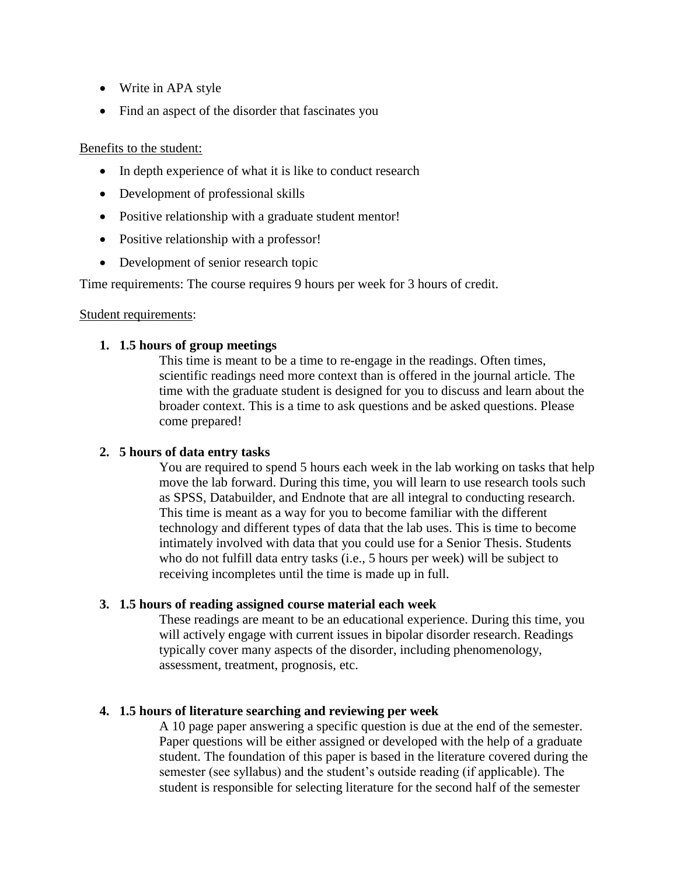- Write in APA style
- Find an aspect of the disorder that fascinates you

#### Benefits to the student:

- In depth experience of what it is like to conduct research
- Development of professional skills
- Positive relationship with a graduate student mentor!
- Positive relationship with a professor!
- Development of senior research topic

Time requirements: The course requires 9 hours per week for 3 hours of credit.

#### Student requirements:

# **1. 1.5 hours of group meetings**

This time is meant to be a time to re-engage in the readings. Often times, scientific readings need more context than is offered in the journal article. The time with the graduate student is designed for you to discuss and learn about the broader context. This is a time to ask questions and be asked questions. Please come prepared!

# **2. 5 hours of data entry tasks**

You are required to spend 5 hours each week in the lab working on tasks that help move the lab forward. During this time, you will learn to use research tools such as SPSS, Databuilder, and Endnote that are all integral to conducting research. This time is meant as a way for you to become familiar with the different technology and different types of data that the lab uses. This is time to become intimately involved with data that you could use for a Senior Thesis. Students who do not fulfill data entry tasks (i.e., 5 hours per week) will be subject to receiving incompletes until the time is made up in full.

# **3. 1.5 hours of reading assigned course material each week**

These readings are meant to be an educational experience. During this time, you will actively engage with current issues in bipolar disorder research. Readings typically cover many aspects of the disorder, including phenomenology, assessment, treatment, prognosis, etc.

# **4. 1.5 hours of literature searching and reviewing per week**

A 10 page paper answering a specific question is due at the end of the semester. Paper questions will be either assigned or developed with the help of a graduate student. The foundation of this paper is based in the literature covered during the semester (see syllabus) and the student's outside reading (if applicable). The student is responsible for selecting literature for the second half of the semester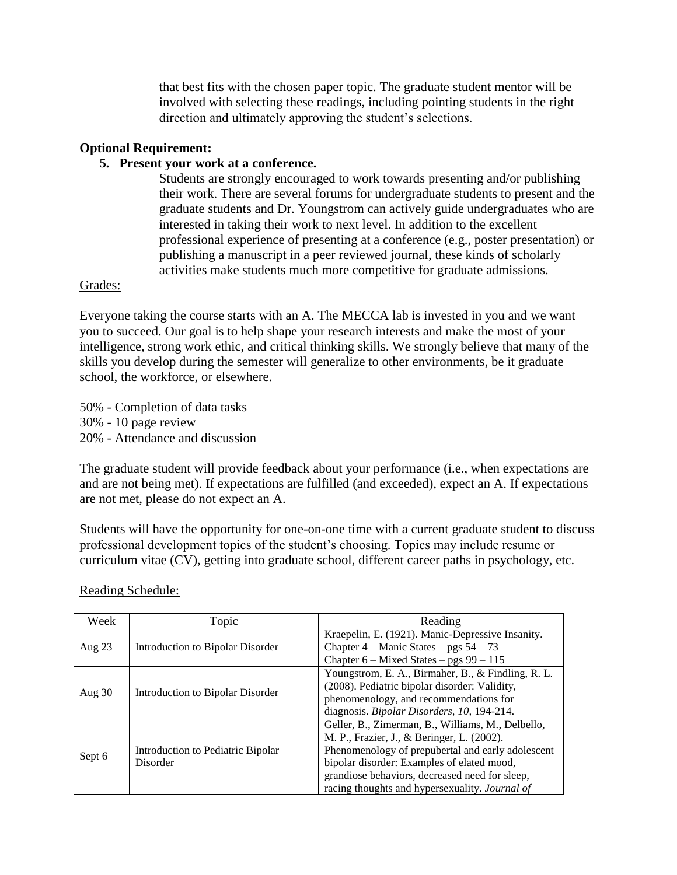that best fits with the chosen paper topic. The graduate student mentor will be involved with selecting these readings, including pointing students in the right direction and ultimately approving the student's selections.

#### **Optional Requirement:**

#### **5. Present your work at a conference.**

Students are strongly encouraged to work towards presenting and/or publishing their work. There are several forums for undergraduate students to present and the graduate students and Dr. Youngstrom can actively guide undergraduates who are interested in taking their work to next level. In addition to the excellent professional experience of presenting at a conference (e.g., poster presentation) or publishing a manuscript in a peer reviewed journal, these kinds of scholarly activities make students much more competitive for graduate admissions.

#### Grades:

Everyone taking the course starts with an A. The MECCA lab is invested in you and we want you to succeed. Our goal is to help shape your research interests and make the most of your intelligence, strong work ethic, and critical thinking skills. We strongly believe that many of the skills you develop during the semester will generalize to other environments, be it graduate school, the workforce, or elsewhere.

50% - Completion of data tasks 30% - 10 page review 20% - Attendance and discussion

The graduate student will provide feedback about your performance (i.e., when expectations are and are not being met). If expectations are fulfilled (and exceeded), expect an A. If expectations are not met, please do not expect an A.

Students will have the opportunity for one-on-one time with a current graduate student to discuss professional development topics of the student's choosing. Topics may include resume or curriculum vitae (CV), getting into graduate school, different career paths in psychology, etc.

| Week     | Topic                                         | Reading                                            |
|----------|-----------------------------------------------|----------------------------------------------------|
| Aug $23$ | Introduction to Bipolar Disorder              | Kraepelin, E. (1921). Manic-Depressive Insanity.   |
|          |                                               | Chapter $4 -$ Manic States $-$ pgs $54 - 73$       |
|          |                                               | Chapter $6$ – Mixed States – pgs $99 - 115$        |
| Aug $30$ | Introduction to Bipolar Disorder              | Youngstrom, E. A., Birmaher, B., & Findling, R. L. |
|          |                                               | (2008). Pediatric bipolar disorder: Validity,      |
|          |                                               | phenomenology, and recommendations for             |
|          |                                               | diagnosis. Bipolar Disorders, 10, 194-214.         |
| Sept 6   | Introduction to Pediatric Bipolar<br>Disorder | Geller, B., Zimerman, B., Williams, M., Delbello,  |
|          |                                               | M. P., Frazier, J., & Beringer, L. (2002).         |
|          |                                               | Phenomenology of prepubertal and early adolescent  |
|          |                                               | bipolar disorder: Examples of elated mood,         |
|          |                                               | grandiose behaviors, decreased need for sleep,     |
|          |                                               | racing thoughts and hypersexuality. Journal of     |

Reading Schedule: